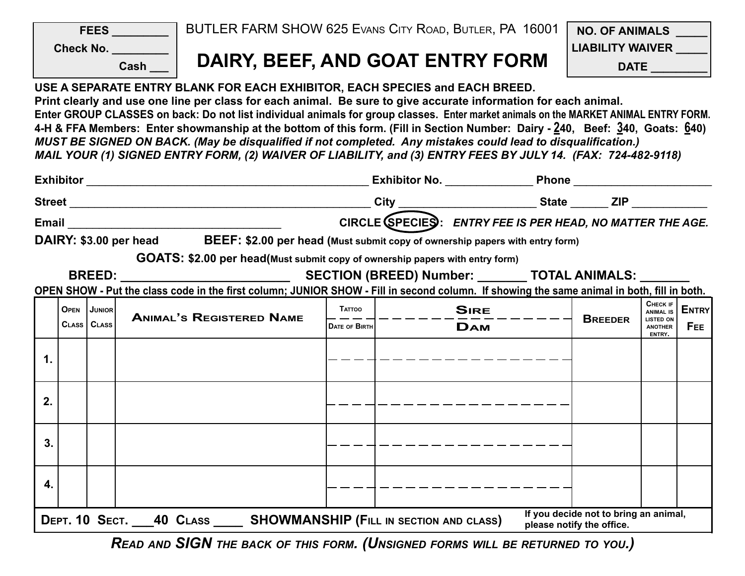| <b>FEES</b> | BUTLER FARM SHOW 625 EVANS CITY ROAD, BUTLER, PA 16001 | I NO. OF ANIMALS        |
|-------------|--------------------------------------------------------|-------------------------|
| Check No.   |                                                        | <b>LIABILITY WAIVER</b> |
| Cash        | DAIRY, BEEF, AND GOAT ENTRY FORM                       | <b>DATE</b>             |

**USE A SEPARATE ENTRY BLANK FOR EACH EXHIBITOR, EACH SPECIES and EACH BREED. Print clearly and use one line per class for each animal. Be sure to give accurate information for each animal. Enter GROUP CLASSES on back: Do not list individual animals for group classes. Enter market animals on the MARKET ANIMAL ENTRY FORM. 4-H & FFA Members: Enter showmanship at the bottom of this form. (Fill in Section Number: Dairy - 240, Beef: 340, Goats: 640)** *MUST BE SIGNED ON BACK. (May be disqualified if not completed. Any mistakes could lead to disqualification.) MAIL YOUR (1) SIGNED ENTRY FORM, (2) WAIVER OF LIABILITY, and (3) ENTRY FEES BY JULY 14. (FAX: 724-482-9118)* 

|                                                                                                                                            |                                                                                                     |               | CIRCLE (SPECIES): ENTRY FEE IS PER HEAD, NO MATTER THE AGE. |                                                    |        |                               |                                                                    |  |                                       |              |  |
|--------------------------------------------------------------------------------------------------------------------------------------------|-----------------------------------------------------------------------------------------------------|---------------|-------------------------------------------------------------|----------------------------------------------------|--------|-------------------------------|--------------------------------------------------------------------|--|---------------------------------------|--------------|--|
|                                                                                                                                            | DAIRY: \$3.00 per head BEEF: \$2.00 per head (Must submit copy of ownership papers with entry form) |               |                                                             |                                                    |        |                               |                                                                    |  |                                       |              |  |
| GOATS: \$2.00 per head(Must submit copy of ownership papers with entry form)                                                               |                                                                                                     |               |                                                             |                                                    |        |                               |                                                                    |  |                                       |              |  |
|                                                                                                                                            |                                                                                                     |               |                                                             |                                                    |        |                               |                                                                    |  |                                       |              |  |
| OPEN SHOW - Put the class code in the first column; JUNIOR SHOW - Fill in second column. If showing the same animal in both, fill in both. |                                                                                                     |               |                                                             |                                                    |        |                               |                                                                    |  |                                       |              |  |
|                                                                                                                                            | OPEN JUNIOR                                                                                         |               | <b>ANIMAL'S REGISTERED NAME</b>                             |                                                    | TATTOO | $SIRE$<br>$--- - - -$ Breeder |                                                                    |  | CHECK IF<br><b>ANIMAL IS</b>          | <b>ENTRY</b> |  |
|                                                                                                                                            |                                                                                                     | CLASS   CLASS |                                                             | $\frac{1}{\sqrt{2}}$ $\frac{1}{\sqrt{2}}$ of Birth |        | $\overline{D}$ AM             |                                                                    |  | LISTED ON<br><b>ANOTHER</b><br>ENTRY. | <b>FEE</b>   |  |
| $\mathbf 1$                                                                                                                                |                                                                                                     |               |                                                             |                                                    |        |                               |                                                                    |  |                                       |              |  |
|                                                                                                                                            |                                                                                                     |               |                                                             |                                                    |        |                               |                                                                    |  |                                       |              |  |
|                                                                                                                                            |                                                                                                     |               |                                                             |                                                    |        |                               |                                                                    |  |                                       |              |  |
| 2.                                                                                                                                         |                                                                                                     |               |                                                             |                                                    |        |                               |                                                                    |  |                                       |              |  |
|                                                                                                                                            |                                                                                                     |               |                                                             |                                                    |        |                               |                                                                    |  |                                       |              |  |
| 3.                                                                                                                                         |                                                                                                     |               |                                                             |                                                    |        |                               |                                                                    |  |                                       |              |  |
|                                                                                                                                            |                                                                                                     |               |                                                             |                                                    |        |                               |                                                                    |  |                                       |              |  |
| 4.                                                                                                                                         |                                                                                                     |               |                                                             |                                                    |        |                               |                                                                    |  |                                       |              |  |
| <b>DEPT. 10 SECT.</b> 40 CLASS SHOWMANSHIP (FILL IN SECTION AND CLASS)                                                                     |                                                                                                     |               |                                                             |                                                    |        |                               | If you decide not to bring an animal,<br>please notify the office. |  |                                       |              |  |

*Read and SIGN the back of this form. (Unsigned forms will be returned to you.)*